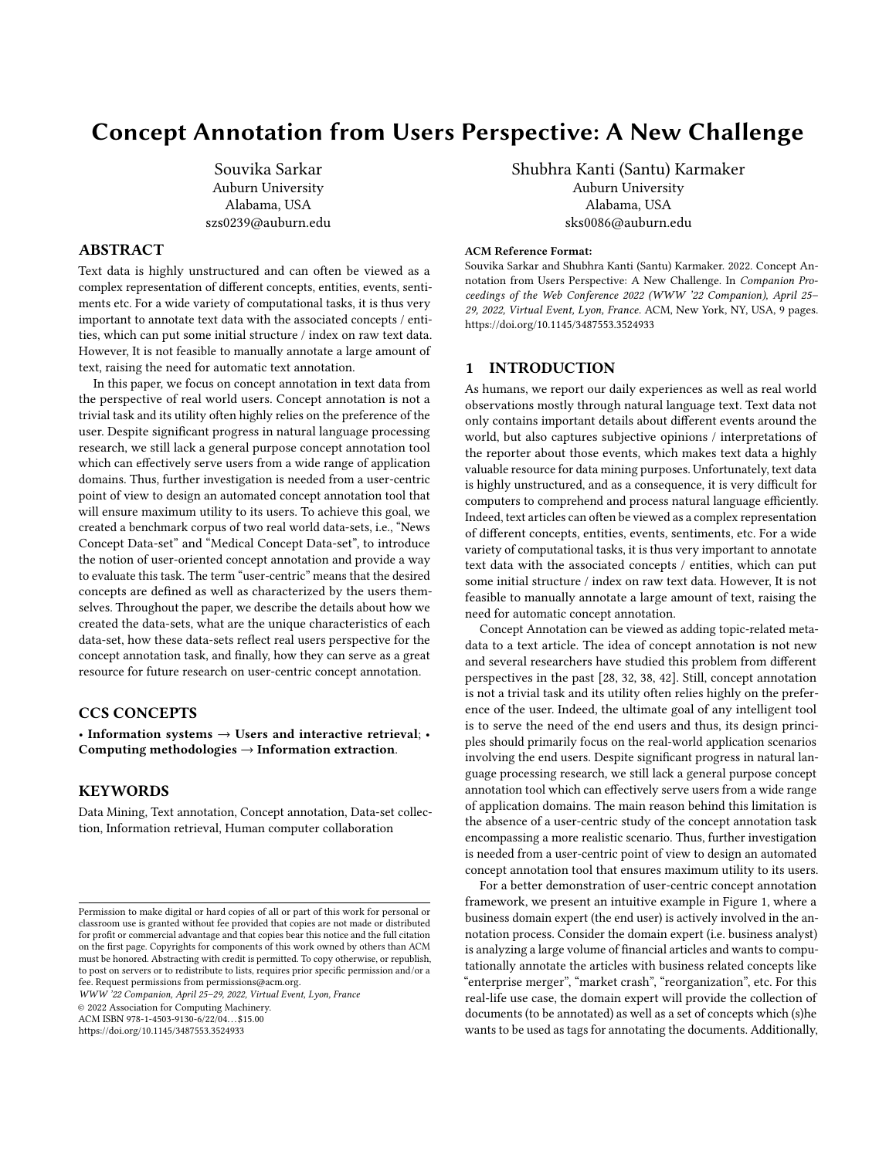# Concept Annotation from Users Perspective: A New Challenge

Souvika Sarkar Auburn University Alabama, USA szs0239@auburn.edu

# ABSTRACT

Text data is highly unstructured and can often be viewed as a complex representation of different concepts, entities, events, sentiments etc. For a wide variety of computational tasks, it is thus very important to annotate text data with the associated concepts / entities, which can put some initial structure / index on raw text data. However, It is not feasible to manually annotate a large amount of text, raising the need for automatic text annotation.

In this paper, we focus on concept annotation in text data from the perspective of real world users. Concept annotation is not a trivial task and its utility often highly relies on the preference of the user. Despite significant progress in natural language processing research, we still lack a general purpose concept annotation tool which can effectively serve users from a wide range of application domains. Thus, further investigation is needed from a user-centric point of view to design an automated concept annotation tool that will ensure maximum utility to its users. To achieve this goal, we created a benchmark corpus of two real world data-sets, i.e., "News Concept Data-set" and "Medical Concept Data-set", to introduce the notion of user-oriented concept annotation and provide a way to evaluate this task. The term "user-centric" means that the desired concepts are defined as well as characterized by the users themselves. Throughout the paper, we describe the details about how we created the data-sets, what are the unique characteristics of each data-set, how these data-sets reflect real users perspective for the concept annotation task, and finally, how they can serve as a great resource for future research on user-centric concept annotation.

## CCS CONCEPTS

• Information systems  $\rightarrow$  Users and interactive retrieval; • Computing methodologies  $\rightarrow$  Information extraction.

# **KEYWORDS**

Data Mining, Text annotation, Concept annotation, Data-set collection, Information retrieval, Human computer collaboration

WWW '22 Companion, April 25–29, 2022, Virtual Event, Lyon, France

© 2022 Association for Computing Machinery.

ACM ISBN 978-1-4503-9130-6/22/04. . . \$15.00

<https://doi.org/10.1145/3487553.3524933>

Shubhra Kanti (Santu) Karmaker Auburn University Alabama, USA sks0086@auburn.edu

### ACM Reference Format:

Souvika Sarkar and Shubhra Kanti (Santu) Karmaker. 2022. Concept Annotation from Users Perspective: A New Challenge. In Companion Proceedings of the Web Conference 2022 (WWW '22 Companion), April 25– 29, 2022, Virtual Event, Lyon, France. ACM, New York, NY, USA, [9](#page-8-0) pages. <https://doi.org/10.1145/3487553.3524933>

## 1 INTRODUCTION

As humans, we report our daily experiences as well as real world observations mostly through natural language text. Text data not only contains important details about different events around the world, but also captures subjective opinions / interpretations of the reporter about those events, which makes text data a highly valuable resource for data mining purposes. Unfortunately, text data is highly unstructured, and as a consequence, it is very difficult for computers to comprehend and process natural language efficiently. Indeed, text articles can often be viewed as a complex representation of different concepts, entities, events, sentiments, etc. For a wide variety of computational tasks, it is thus very important to annotate text data with the associated concepts / entities, which can put some initial structure / index on raw text data. However, It is not feasible to manually annotate a large amount of text, raising the need for automatic concept annotation.

Concept Annotation can be viewed as adding topic-related metadata to a text article. The idea of concept annotation is not new and several researchers have studied this problem from different perspectives in the past [\[28,](#page-8-1) [32,](#page-8-2) [38,](#page-8-3) [42\]](#page-8-4). Still, concept annotation is not a trivial task and its utility often relies highly on the preference of the user. Indeed, the ultimate goal of any intelligent tool is to serve the need of the end users and thus, its design principles should primarily focus on the real-world application scenarios involving the end users. Despite significant progress in natural language processing research, we still lack a general purpose concept annotation tool which can effectively serve users from a wide range of application domains. The main reason behind this limitation is the absence of a user-centric study of the concept annotation task encompassing a more realistic scenario. Thus, further investigation is needed from a user-centric point of view to design an automated concept annotation tool that ensures maximum utility to its users.

For a better demonstration of user-centric concept annotation framework, we present an intuitive example in Figure [1,](#page-1-0) where a business domain expert (the end user) is actively involved in the annotation process. Consider the domain expert (i.e. business analyst) is analyzing a large volume of financial articles and wants to computationally annotate the articles with business related concepts like "enterprise merger", "market crash", "reorganization", etc. For this real-life use case, the domain expert will provide the collection of documents (to be annotated) as well as a set of concepts which (s)he wants to be used as tags for annotating the documents. Additionally,

Permission to make digital or hard copies of all or part of this work for personal or classroom use is granted without fee provided that copies are not made or distributed for profit or commercial advantage and that copies bear this notice and the full citation on the first page. Copyrights for components of this work owned by others than ACM must be honored. Abstracting with credit is permitted. To copy otherwise, or republish, to post on servers or to redistribute to lists, requires prior specific permission and/or a fee. Request permissions from permissions@acm.org.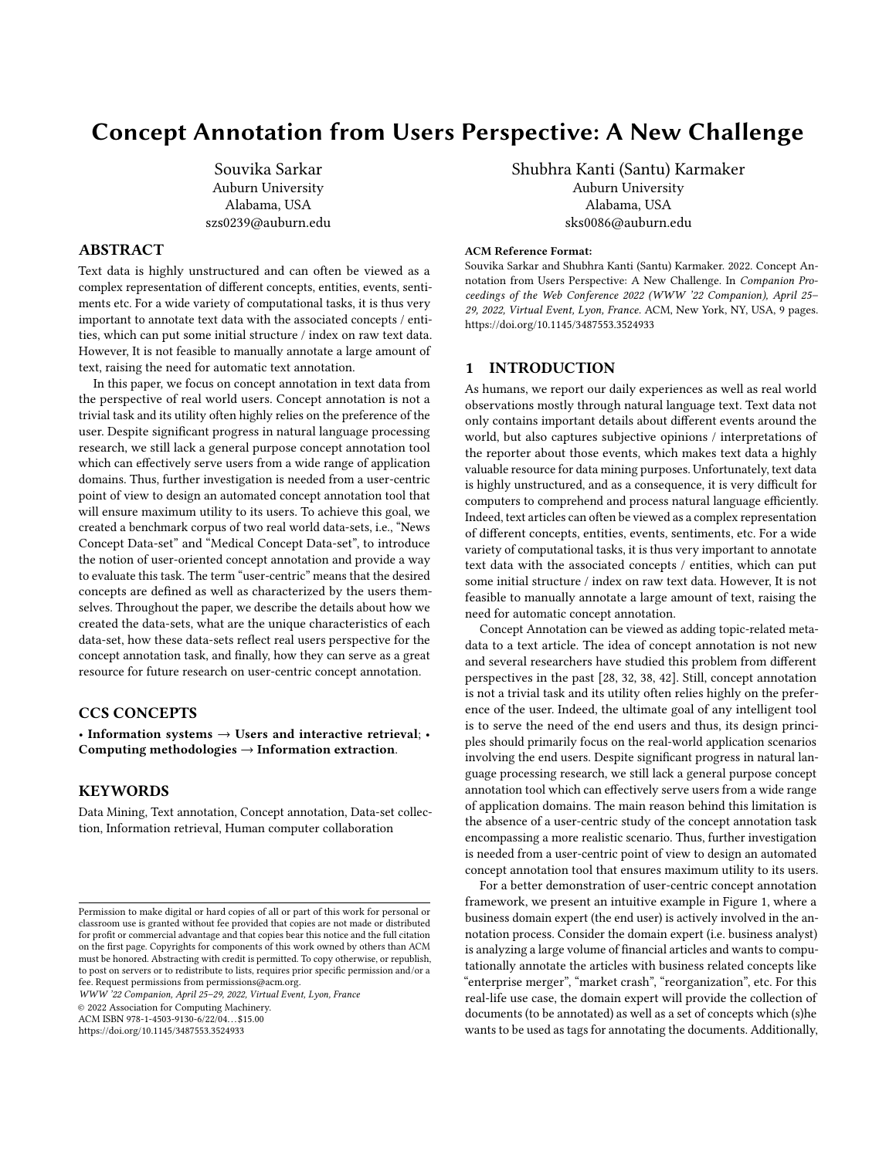<span id="page-1-0"></span>WWW '22 Companion, April 25–29, 2022, Virtual Event, Lyon, France Souvice Souvika Sarkar and Shubhra Kanti (Santu) Karmaker



Figure 1: The user-centric concept annotation framework. The end-user (Domain Expert) provides set of documents, concepts and concept related keywords. The annotation algorithm then uses a semi-supervised approach to assign concepts to each document .

the domain expert may also provide a list of relevant keywords associated with each concept which can be used as expert guidance for the annotation process. The automated annotation algorithm then labels each document by associating it with relevant concepts. The most important distinction of user-centric concept annotation framework from a regular one is that the desired concepts as well as concept related keywords now come from the user, who has the best knowledge of the application scenario; this provides the end user with the control to maximize the utility of the outcome of the annotation process.

In this paper, we introduce and formalize the notion of usercentric concept annotation task by introducing a benchmark corpus of two real world data-sets, i.e., "News Concept Data-set" and "Medical Concept Data-set"[1](#page-1-1) , and provide gold-standard concept labels as a way to evaluate the annotation task. The term "user-centric" means that the desired concepts are defined as well as characterized by the users themselves. The data-sets described in this paper encompasses approximately 3k articles from medical and 9k articles from the news forum.

Concept annotation is trivial when concept names are explicitly specified in the text. On the other hand, concept names do not appear directly on a frequent basis, rather they are implied throughout the text in an implicit way. Recognizing implicit concepts is an arduous job. Probing our data-sets (crawled from medical and news forum), we ascertained significant portions of the data contains these implicit concepts, hence their accurate identification, while very challenging, is critical to assure high utility for the end-users.

We conducted a preliminary study on how the domain expertise of the end user can be leveraged to mitigate the issue of implicit features. We realized that a domain expert can often provide a set of concept-related keywords and phrases from their experience. For example, a doctor can suggest words like "Stroke", "Cardiovascular", "Hypertension" etc. that are informative words for a concept like "Heart Health". In our experiments, we simulated the role of an end user (domain expert) by pre-selecting a set of concept related keywords.

In summary, we introduce and formalize the notion of usercentric concept annotation task in this paper and contribute two real world data-sets with gold annotations for evaluating this new task. Throughout the paper, we describe the details about how we created the data-sets, what are the unique characteristics of each data-set, how these data-sets reflect real users perspective for the concept annotation task, and finally, how they can serve as a great resource for future research on user-centric concept annotation.

#### 2 RELATED WORK

Concept annotation is a fundamental research problem in NLP / text mining area and has been studied heavily in the past. As expected, many large-scale annotated corpora were created using conventional annotation schema (by a team consisting of guideline designers, annotators, and technical support staff), including Prague Dependency Treebank [\[6\]](#page-8-5), the Arabic, English, Chinese Penn Treebank [\[26,](#page-8-6) [28,](#page-8-1) [42\]](#page-8-4). Another technique used for collecting high-quality annotations is to organize data challenges for the research community; for example, in the 2009 i2b2 medication challenge for concept extraction, assertion classification, and relation

<span id="page-1-1"></span><sup>1</sup>The resources are available at :<https://1drv.ms/f/s!Aiv6VuLp2LFnaTvBRSPAZ4xRJkg>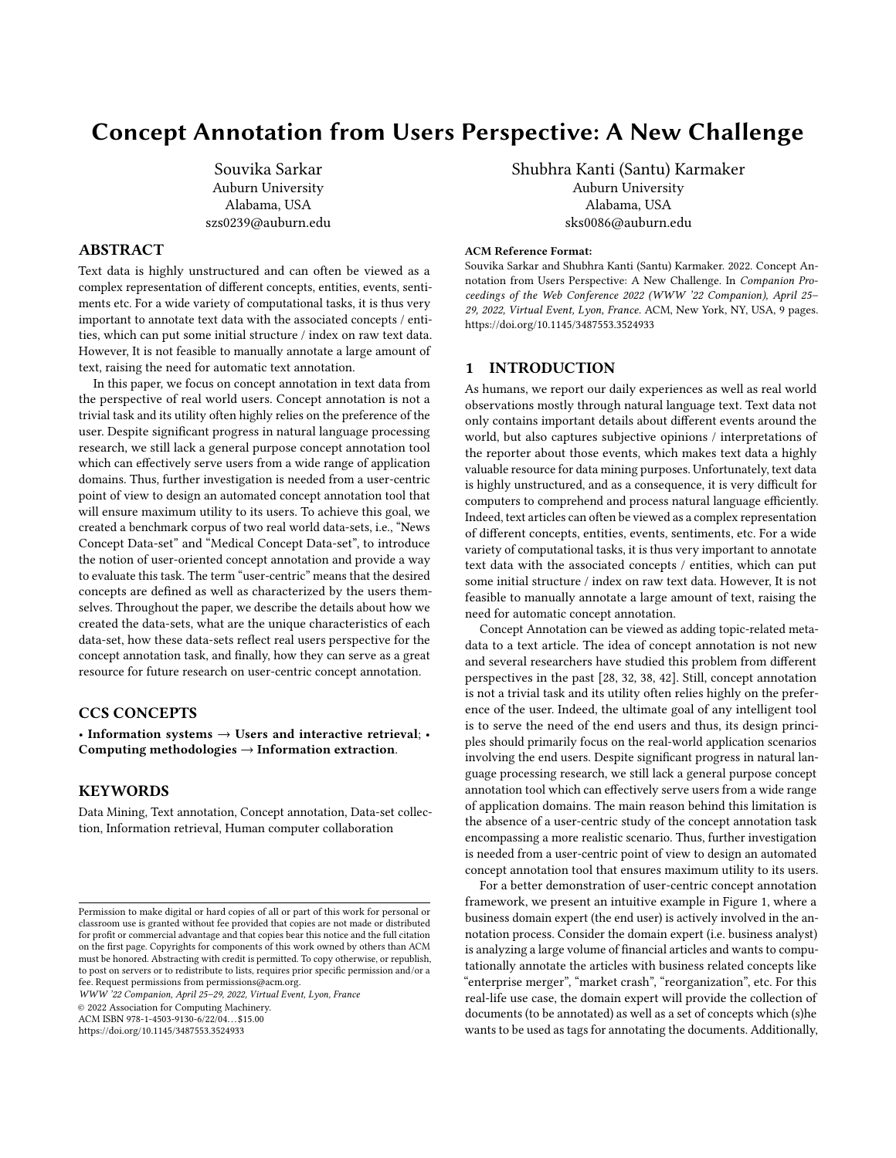classification task, [\[40\]](#page-8-7) was created by the i2b2 organizers and the participating teams.

In the biomedical domain, semantically annotated corpora including GENIA corpus [\[23\]](#page-8-8) and PennBioIE corpus [\[27\]](#page-8-9) are publicly available. Kulick et al. [\[24\]](#page-8-10) presented annotation guidelines for Biomedical information extraction. Xia et al. [\[43\]](#page-8-11) presented three corpora for clinical NLP studies. One of them identifies critical recommendations in radiology reports, and the other two indicate whether a patient has pneumonia based on chest X-ray reports or ICU reports. Cohen et al. [\[11\]](#page-8-12) discussed about design features, characteristics and contributed in design ideas for biomedical corpora. Bijoy et.al. [\[5\]](#page-8-13) performed simple keyword-based annotation on COVID-19 related tweets to analyze frequent symptoms associated with the pandemic.

Another school of researchers focused on concept annotation tasks for the legal domain. For example, Dragoni et al. [\[14\]](#page-8-14) and Wyner et al. [\[41\]](#page-8-15) worked on rule extraction from legal documents using Natural Language Processing techniques. Soriaet al. [\[36\]](#page-8-16) and Spinosa et al. [\[37\]](#page-8-17) performed semantic analysis of the textual amendments and extracted metadata / regulatory content. Biagioli et.al. [\[4\]](#page-8-18) studied retrieval of norms from legal documents using NLP methods.

Besides introducing new data-sets for concept annotation task, researchers have developed several automated tools to perform the annotation itself. For example, BRAT [\[38\]](#page-8-3) is a web-based Tool for assisted text annotation featuring high-quality annotation visualization, intuitive annotation interface and support. Knowtator [\[32\]](#page-8-2) is a general-purpose text annotation tool which can aid the manual creation of annotated corpora that can be used for evaluating or training a variety of natural language processing systems. Kalina et al. developed GATE Teamware [\[7\]](#page-8-19) which is an open-source, web-based, collaborative text annotation framework. It facilitates to carry out complex corpus annotation projects, involving distributed annotator teams. The tool comes with different user roles such as annotator, manager, to support the complex workflows and user interactions that usually occur in corpus annotation projects. Seeker [\[13\]](#page-8-20) is a platform for large-scale text analytics, and SemTag is an application written on the platform to perform automated semantic tagging of large corpora.

One closely similar task to concept annotation is the Named entity recognition (NER) task, where the goal is to identify references to real-world entities mentioned in raw text data. Kulkarni et al. [\[25\]](#page-8-21) in their paper presented annotation of Wikipedia Entities in Web Text. Their method annotated Web pages with entities from an entity catalog, such as Wikipedia. Another school of researchers aimed to automatically cross-reference significant terms with Wikipedia [\[16,](#page-8-22) [31\]](#page-8-23). They used NLP techniques to annotate terms within the text that are short, improperly formed, and also unstructured, and enhanced it with links to the appropriate Wikipedia articles. Mihalcea et al. [\[29\]](#page-8-24) showed that given an input document, their system can identify the important concepts in the text and link these concepts to the corresponding Wikipedia pages.

A probabilistic view, as provided by topic models, performs modestly for identifying concepts in unstructured data. Multiple research [\[8,](#page-8-25) [39\]](#page-8-26) has shown it is possible to learn to annotate from

well-annotated collections of metadata through supervised learning. Iwata et.al. [\[20\]](#page-8-27) proposed a topic model for analyzing and excerpting content related annotations from noisy annotated discrete data such as web pages stored in bookmarks. Poursabzi-sangdeh et al. [\[34\]](#page-8-28) merged document classification and topic models, where topic modeling was used to uncover the underlying semantic structure of documents in the collection. Engels et al. [\[15\]](#page-8-29) proposed an automatic annotation scheme, in which they employed a latent topic model to generate topic distributions given a video and associated text. Karmaker et al. [\[22\]](#page-8-30) proposed a generative feature-topic model that can mine implicit features from online reviews, through unsupervised statistical learning.

Sentiment analysis is another closely related area which often benefit from the concept annotation task as sentiments are often expressed at the concept / event level. Erik Cambria et al. [\[10\]](#page-8-31) mentioned that sentiment analysis is a suitcase research problem that requires undertaking several NLP tasks, in particular 15 tasks including "Concept Annotation". In [\[9\]](#page-8-32), authors extracted topics / concepts that are highly correlated with the positive and negative sentiments (from opinions). In [\[2,](#page-8-33) [3\]](#page-8-34), researchers have presented strategy for automatic sentiment analysis and concept labeling over Spanish Twitter data. Hassan et.al. [\[18\]](#page-8-35) have developed an automatic sexual violence report tracking system by extensively annotating tweets with #metoo hashtag.

In contrast to all studies discussed above, our strategy takes a different perspective to this classic problem, i.e, focusing on realworld use-case scenarios. Ad-hoc user requirements / preferences for concept annotation can be supported in our problem formulation by actively engaging the user in the process and allowing them to provide their own desired set of concepts and keywords.

## 3 PROBLEM STATEMENT

The goal task is to annotate a collection of documents  $D$  with a set of concepts  $C$ , where each concept  $C$  has a list of associated keywords  $K_C$  provided by the domain expert / end user. Our usercentric problem set-up assumes that the end user provides all the documents, concepts and keyword-lists as inputs. The user here is usually a domain expert with specialized knowledge or skills in a particular area of endeavor (e.g., a cardiologist is an expert in the domain of "heart health").

Let D = { $d_1, d_2, ..., d_n$ } be the collection of documents where each  $d_i$  represents a document in the corpus. Let  $C = \{c_1, c_2, ..., c_m\}$  is the collection of all concepts the user is interested in. Each concept is represented by a word/phrase and is associated with a set of related  $k$ eywords  $K_c = \{k_c^1, k_c^2, ..., k_c^p\}$ . The goal task is to annotate each  $d_i \in D$  with a set of concepts,  $\bigcirc \in C$ . Noteworthy, a document may have multiple concepts associated with it as well as a concept may be associated with multiple documents. Moreover, a concept can be roughly characterized by a set of keywords and different sets of keywords may characterize different concepts.

A concept  $c_k$  may not occur by it's name / phrase explicitly in a document  $d_i$ . For example, a document about "Mental Health" may not include the exact phrase "Mental Health", but still talk about "Depression", "Anxiety" and "Antidepressant Drugs". Thus, the concept "Mental Health" is implicit in this document and it is equally important to annotate the implicit concepts within a document as well as the explicit concepts. To help us tackle this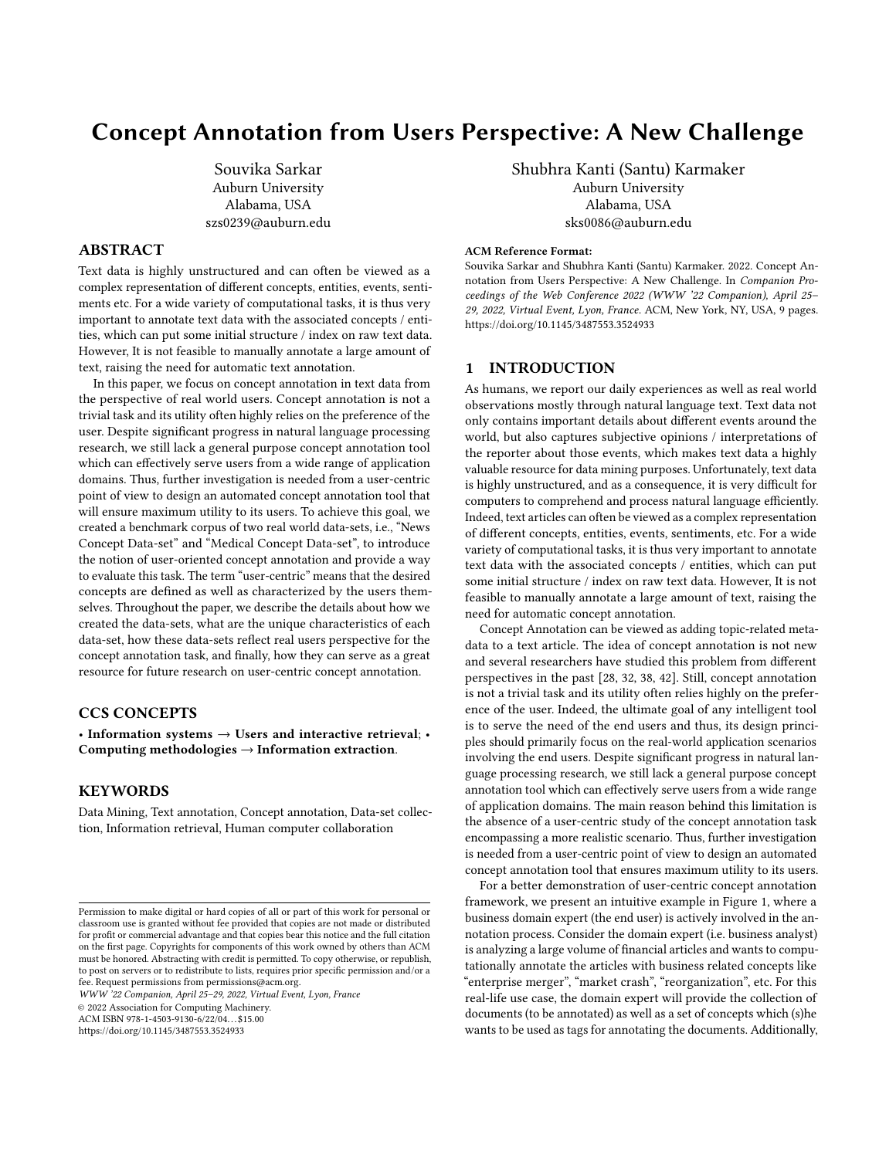problem, a domain expert can create a keyword dictionary for each concept to reduce the number of implicit mentions and convert them into explicit mentions. For example, a doctor can provide the list {"Bone," "Calcium," "Fractures"} as keywords for the concept "Osteoporosis" and if we find that there are explicit mentions of these words in a document, it can be considered as revealing the concept "Osteoporosis" explicitly. Below, we formalize the input and output of our user-centric concept annotation task.

**Input:** a collection of documents  $D = \{d_1, d_2, ..., d_n\}$ , a collection of concepts  $C = \{c_1, c_2, ..., c_m\}$  and a set of keywords  $K_c =$  ${k_c^1, k_c^2, ..., k_d^p}$  associated with each concept  $c$ .

Output:  $y_d^{c_j}$  $\begin{bmatrix} c_j \\ d_i \end{bmatrix}$  for each  $d_i \in D$  and  $c_j \in C$ , where,  $\gamma_{d_i}^{c_j}$  $\frac{c_j}{d_i} = 1$  if concept  $c_i$  is present in document  $d_i$ , or 0 otherwise.

## THE NEW RESOURCE

This section describes the two new data-sets we created for usercentric concept annotation, i.e., "News Concept" and "Medical Con-cept" Data-sets<sup>[2](#page-3-0)</sup>. Below, we discuss how we created these data-sets step-by-step and highlight some challenges we faced along the way.

<span id="page-3-1"></span>

Figure 2: Sample document from Medical Data-set: Article scraped from www.health.harvard.edu in JSON file in the form of 'Article Title', 'Article Text', 'Article Concept' .

# 4.1 Data Collection and cleaning

A collection of publicly available online news and medical-blog articles were crawled from the web to create our Data-sets. Each article was already tagged with one or more concepts by human annotators. For example an article titled, "Why eating slowly may help you feel full faster" is associated with concepts "Diet and Weight Loss" and "Health". We scraped the article titles, article texts, and article concepts from the news and medical-blog websites and and stored them as JSON objects. Figure [2](#page-3-1) shows how each article is stored in the JSON file with keys: "article title", "article text" and "article concept". Blue box highlights article title, Green box highlights article text, and Orange box highlights topics which we considered as concepts.

<span id="page-3-2"></span>

| Data-set ->                 | <b>News Concept</b> | <b>Medical Concept</b> |  |
|-----------------------------|---------------------|------------------------|--|
| URL                         | newsbusters.org     | health.harvard.edu     |  |
| Total # of Articles         | 8940                | 2066                   |  |
| # of Original Concepts      | 7199                | 2331                   |  |
| # of Concepts Retained      | 12                  | 18                     |  |
| Avg. # of concepts per ar-  | 1 29                | 1.47                   |  |
| ticle with $\geq 1$ concept |                     |                        |  |

Table 1: An overview of the new Data-sets

| Domain      | Concept               | <b>Merged Concepts</b>                      |
|-------------|-----------------------|---------------------------------------------|
| Medical     | Arthritis             | Arthritis, Osteoarthritis                   |
| Medical     | Children's Health     | Children's Health, Parenting                |
| Medical     | Headache              | Headache, Migraines                         |
| Medical     | <b>Healthy Eating</b> | Healthy Eating, Diet and Weight Loss        |
| Medical     | Heart Health          | Heart Health, Hypertension and Stroke       |
| Medical     | Mental Health         | Mental Health, Anxiety and Depression,      |
|             |                       | <b>Stress</b>                               |
| Medical     | Prostate Knowl-       | Prostate Knowledge, Prostate Health, Liv-   |
|             | edge                  | ing With Prostate Cancer                    |
| Medical     | Women's Health        | Women's Health, Family Planning and         |
|             |                       | Pregnancy, Pregnancy                        |
| <b>News</b> | 2020 Presidential     | 2020 Presidential, Campaigns and Elections  |
| <b>News</b> | Celebrities           | Celebrities, Hollywood, Movies              |
| <b>News</b> | Economy               | Economy, Recession, Budget, Stock Market,   |
|             |                       | Banking/Finance, Capitalism                 |
| <b>News</b> | Religion              | Religion, Christianity, Anti-Religious Bias |
| <b>News</b> | Sexuality             | Sexuality, Homosexuality, Sexism, Same      |
|             |                       | sex marriage, Transgender                   |
| <b>News</b> | Trump-Russia          | Trump-Russia probe, Mueller Report          |
|             | probe                 |                                             |

Table 2: Details of merged concepts for Medical and News data-set

As part of data cleaning, we observed few overlapping concepts that were mostly appearing together, so we merged those similar/ overlapping concepts into a single concept. Through meticulous manual effort, we then selected a subset of the total available (merged) concepts based on the following course of actions: 1) Removing duplicate concepts, 2) Ignoring entities like people, place etc. to be considered as concepts, 3) Discarding very general concepts like sports, politics etc, 4) Removing concepts with a low frequency of associated articles and 5) Selecting a subset of concepts that can ensure a high level of diversity within each domain. The final corpora contains 12 unique concepts for News Data-set and 18 unique concepts for Medical Data-set, an overview of which are presented in table [1.](#page-3-2) The statistics of the merged concepts for both data-sets are presented in table [2.](#page-3-2)

### 4.2 Prevalence of Implicit Mentions

For each article, we checked whether the ground-truth concepts can be identified by performing a simple Boolean check with the concept name. Since our data-sets are comprised of lengthy articles and each article is a complex representation of various concepts,

<span id="page-3-0"></span><sup>2</sup>The data-sets are available at : https://1drv.ms/u/s!AhjEulokkL5fnS8lSUZOsISBgv-S?e=af4aK1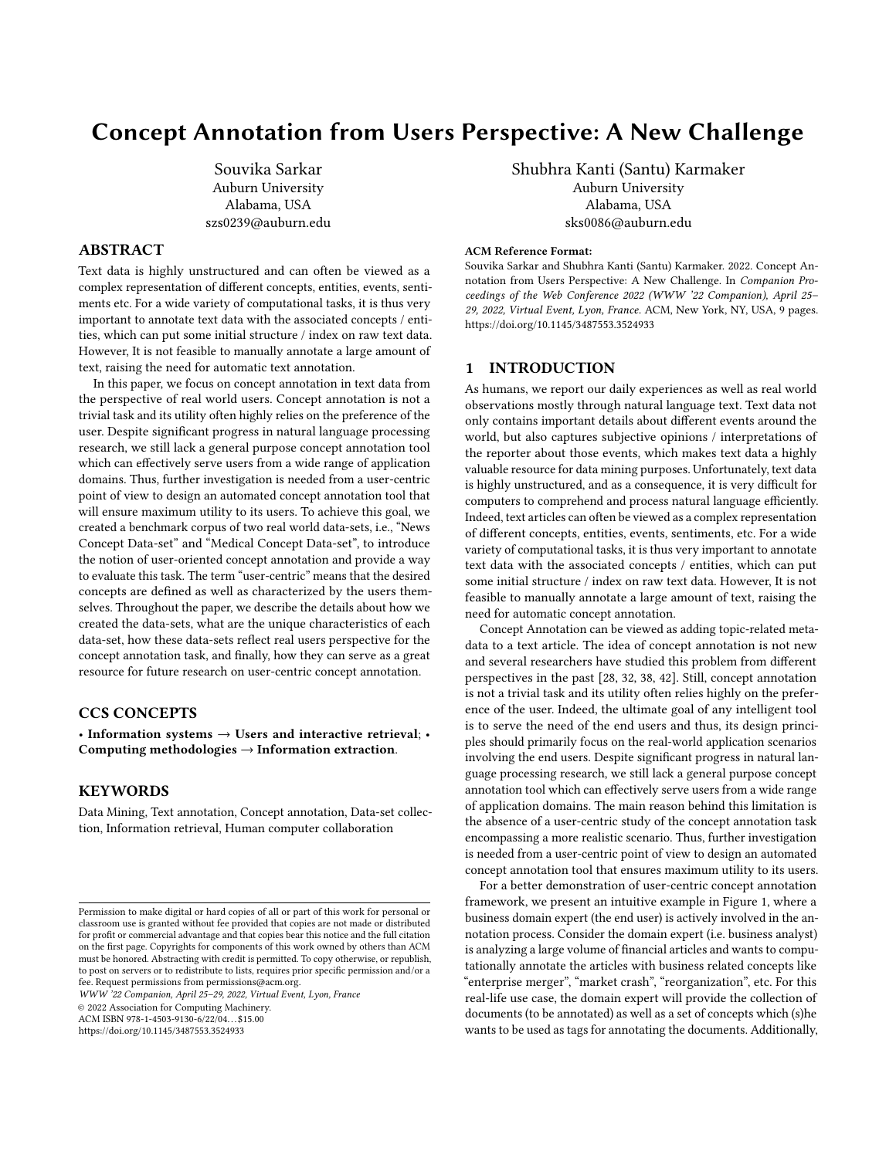entities and events, only checking the concept name in the text performed poorly. We report the results of this simple Boolean matching based annotation technique in tables [3](#page-4-0) and [4](#page-4-0) for News and Medical Data-sets, respectively. For each article, the concepts assigned by the simple Boolean approach were compared against the human annotated concept to compute the true positive, false positive and false negative statistics, which are defined as below:

- True Positive: Number of concepts correctly extracted.
- False Negative: Number of concepts not extracted.
- False Positive: Number of concepts incorrectly extracted.

<span id="page-4-0"></span>

| Concept            | Total | True            | False    | False           |
|--------------------|-------|-----------------|----------|-----------------|
| Name               | Count | <b>Positive</b> | Negative | <b>Positive</b> |
| 2020 Presidential  | 2212  | 147             | 2065     | 57              |
| Abortion           | 411   | 385             | 26       | 337             |
| Celebrities        | 497   | 46              | 451      | 107             |
| Coronavirus        | 227   | 221             | 6        | 84              |
| Economy            | 317   | 148             | 169      | 323             |
| Foreign Policy     | 370   | 41              | 329      | 126             |
| Global Warming     | 312   | 128             | 184      | 33              |
| Immigration        | 374   | 249             | 125      | 313             |
| Religion           | 327   | 89              | 238      | 116             |
| Sexuality          | 689   | 90              | 599      | 40              |
| Trump Impeachment  | 1085  | 34              | 1051     | 15              |
| Trump-Russia probe | 466   | 17              | 449      | 3               |

Table 3: News Forum: Concept annotation result based on Boolean check by the concept name

| Concept                     | Total | <b>True</b>     | False    | False           |
|-----------------------------|-------|-----------------|----------|-----------------|
| Name                        | Count | <b>Positive</b> | Negative | <b>Positive</b> |
| Addiction                   | 95    | 64              | 31       | 36              |
| Alcohol                     | 9     | 9               | $\theta$ | 237             |
| Arthritis                   | 46    | 40              | 6        | 96              |
| Brain and cognitive health  | 92    | $\theta$        | 92       | $\theta$        |
| <b>Breast Cancer</b>        | 27    | 24              | 3        | 34              |
| Cancer                      | 172   | 164             | 8        | 389             |
| Children's Health           | 290   | $\theta$        | 290      | $\theta$        |
| <b>Exercise and Fitness</b> | 176   | $\theta$        | 176      | $\theta$        |
| Headache                    | 31    | 29              | 2        | 120             |
| <b>Healthy Eating</b>       | 313   | 44              | 269      | 11              |
| Heart Health                | 255   | 33              | 222      | 20              |
| Mental Health               | 300   | 103             | 197      | 72              |
| Osteoporosis                | 23    | 19              | 4        | 39              |
| Pain Management             | 98    | 10              | 88       | $\overline{4}$  |
| Prostate Knowledge          | 161   | $\overline{4}$  | 157      | $\theta$        |
| Sleep                       | 58    | 58              | $\theta$ | 270             |
| Smoking cessation           | 15    | $\overline{4}$  | 11       | 8               |
| Women's Health              | 172   | $\theta$        | 172      | $\theta$        |

Table 4: Medical Forum: Concept annotation result based on Boolean check by the concept name

Extrapolating the very high 'False Negative' values in Table [3](#page-4-0) and [4,](#page-4-0) we concluded that many of the concepts are not explicitly mentioned in the article and are thus "Implicit concepts". The difference between the two can be further clarified through an example. We consider a concept as explicit if the concept names are explicitly mentioned in the article text. For example, the following sentence is from an article related to concept Corona virus, "Americans should feel much better about the corona virus coming under control", which mentions the concept Corona virus explicitly in the text body. Whereas, for implicit concepts, the concept name is not directly mentioned in the article text, rather the concept is somewhat implied. For example, the following sentence is taken from an article annotated with the concept Women's Health, "Studies question ban on alcohol during pregnancy." Here, the text does not contain the phrase Women's Health, yet a human can easily relate it to the same concept. We consider these cases as implicit mentions on the target concept. Based on the above observation, we performed a detailed analysis regarding explicit and implicit concepts for both data-sets, the results of which are presented in table [5.](#page-4-1) Due to the abundance of these implicit concepts as reported in Table [5,](#page-4-1) we conclude that simply checking the concept name in the text will not yield a high quality automatic annotation.

#### 5 BRINGING THE USER INTO THE LOOP

To mitigate the issue of the ubiquity of implicit concepts, we started delving into the data-sets for finding alternative approaches. On further assessment, we realized that in cases where concept names are not directly mentioned in the text, some informative keywords related to the concept are always present in the article text. Indeed, each concept can be conceptually viewed as a cloud of its informative keywords and different concepts will essentially yield different word clouds. More interestingly, these informative keywords (word cloud) can be provided by the end user (domain expert) conducting the annotation task. In fact, we realized this is what mostly happens in real-world cases and decided to simulate this case artificially while creating our data-sets. The whole simulation process can be summarised in the following 2 steps.

Step 1- Extracting Informative keywords: We extracted the informative keywords for each concept using the TF-IDF (Term Frequency - Inverse Document Frequency) heuristics on the documents tagged with each concepts [See Algorithm [1](#page-5-0) for details]. For example, the articles related to concept 'Heart Health' yielded informative keywords like 'Cardiovascular', 'Stroke', 'Heart attack', 'Blood pressure', 'Cholesterol', 'Heart' etc (refer to figure [3\)](#page-5-1). This way, we prepared a JSON file with the list of concepts and respective informative keywords.

<span id="page-4-1"></span>

|                                                         | <b>News</b> | Medical |
|---------------------------------------------------------|-------------|---------|
| <b>Statistic</b>                                        | Forum       | Forum   |
| <b>Total Explicit mentions</b>                          | 1577        | 604     |
| Total Implicit mentions                                 | 5622        | 1727    |
| Percentage of Explicit mentions                         | 21.91       | 25.92   |
| Percentage of Implicit mentions                         | 78.09       | 74.08   |
| Avg Explicit mentions per article with $\geq 1$ concept | 0.28        | 0.38    |
| Avg Implicit mentions per article with $\geq 1$ concept | 1.01        | 1.09    |
| Number of articles without single concept               | 3401        | 482     |

Table 5: Details of articles from News and Medical Forum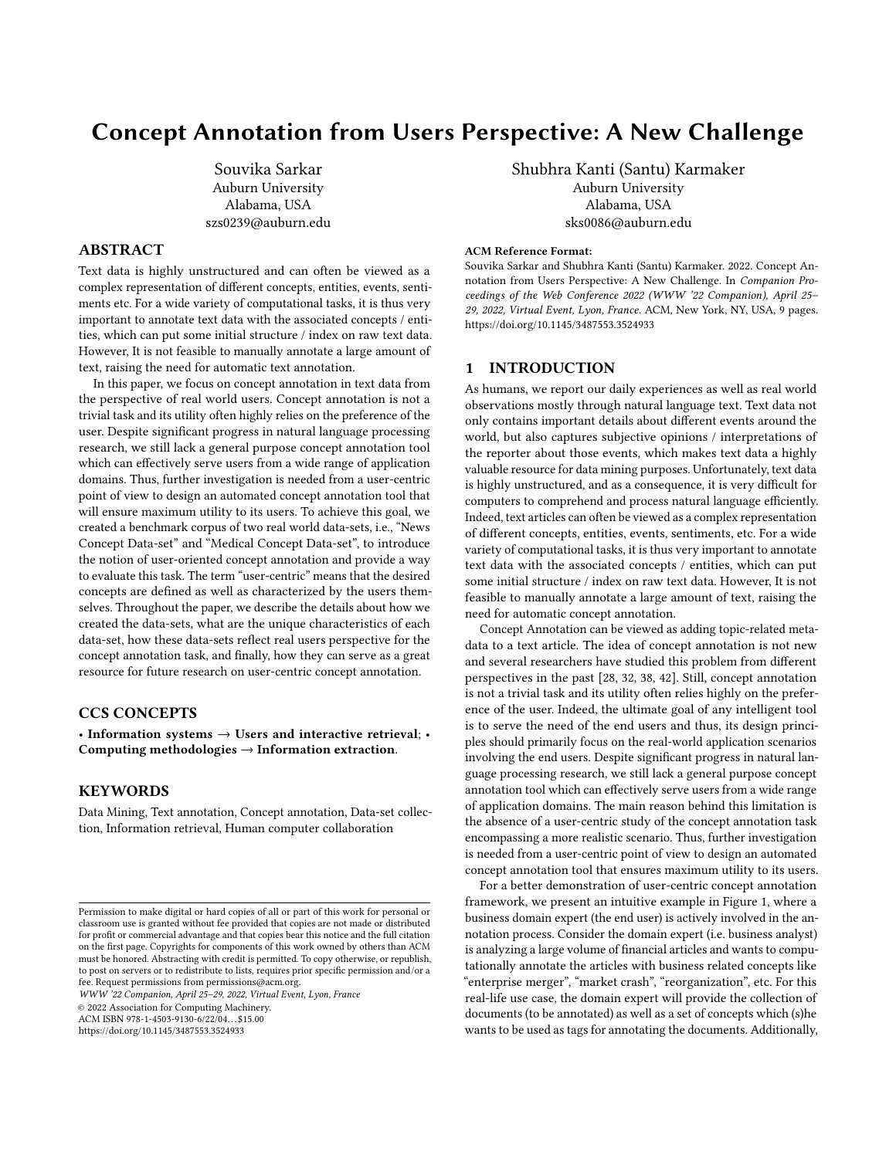WWW '22 Companion, April 25–29, 2022, Virtual Event, Lyon, France Souvice Souvika Sarkar and Shubhra Kanti (Santu) Karmaker

Step 2 - Building a Keyword Dictionary: For each concept, we selected three (empirically set) informative keywords from the keyword list extracted during Step 1. This selection was done through careful manual inspection in order to simulate a real-life end user. For example, for concept "Global Warming", the following keywords were chosen: {'Climate', 'Planet', 'Green'}, which are intuitively related to the concept. Similarly, keywords for Religion includes words like {'Church','Christian', 'Religious'}. Tables [6](#page-5-2) and [7](#page-5-2) contain concepts and corresponding keywords details from medical and news data-set respectively.

<span id="page-5-0"></span>Algorithm 1 Pseudocode for informative keyword extraction

| 1: <b>Input:</b> A concept for which keyword will be extracted, set of |  |
|------------------------------------------------------------------------|--|
| article text and corresponding concept.                                |  |

- 2: Output: list of keywords
- 3: for each article concept do
- 4: if input concept present in article associated concept then add article text to a list
- 5: end if
- 6: end for
- 7: Call TF-IDF function
- 8: Pass In:Extracted articles list
- 9: Pass Out:Keywords

10: end

<span id="page-5-1"></span>

Figure 3: Set of keywords relevant to the concept Global Warming and Heart Health

# 6 A RUDIMENTARY KEYWORD-BASED ANNOTATION ALGORITHM

To discover concepts by using the informative keyword list provided by the user, we experimented with a rudimentary keyword-Based annotation algorithm (See Algorithm [2\)](#page-5-3). To measure the performance of this rudimentary approach, we use popular measures available in the literature: Precision, Recall, F1 measure and False Positive Rate. The corresponding True Positive, False Positive and, false negative values were calculated based on pseudo code presented in algorithm [3.](#page-6-0)

Results of this rudimentary keyword-based annotation algorithm is shown in table [8](#page-7-0) and [9](#page-7-0) for News and Medical Data-set Respectively. For instance, for the concept 'Healthy Eating' in our medical data-set, keyword based annotation approach obtained a precision of 0.37, recall of 0.94, corresponding F1 measure of 0.53 and a False Positive Rate of 0.29. The distribution of F1 Measure and FP rate for each concept has been shown in figure [4](#page-6-1) and [5.](#page-6-1)

Apparently, simple keywords search appeared to achieve better results than using the Boolean concept name matching technique

<span id="page-5-2"></span>

| <b>Concept Name</b>         | Keywords                           |  |  |
|-----------------------------|------------------------------------|--|--|
| Addiction                   | Opioids, Alcohol, Drug             |  |  |
| Alcohol                     | Wine, Consumption, Sud             |  |  |
| <b>Arthritis</b>            | Pain, Knee, Joint                  |  |  |
| Brain and cognitive health  | Brain, Dementia, Memory            |  |  |
| <b>Breast Cancer</b>        | Mastectomy, Mammograms, Pro-       |  |  |
|                             | phylactic                          |  |  |
| Cancer                      | Screening, Radiation, Cells        |  |  |
| Children's Health           | Parents, Children, Babies          |  |  |
| <b>Exercise and Fitness</b> | Exercise, Activity, Physical       |  |  |
| Headache                    | Migraine, Sinus, Chronic pain      |  |  |
| <b>Healthy Eating</b>       | Diet, Foods, Weight                |  |  |
| Heart Health                | Hypertension, Stroke, Cardiovascu- |  |  |
|                             | lar                                |  |  |
| Mental Health               | Depression, Anxiety, Antidepres-   |  |  |
|                             | sant                               |  |  |
| Osteoporosis                | Bone, Calcium, Fractures           |  |  |
| Pain Management             | Opioid, Pain, Osteoarthritis       |  |  |
| Prostate Knowledge          | Prostate, Psa, Screening           |  |  |
| Sleep                       | Night, Apnea, Insomnia             |  |  |
| Smoking cessation           | Cigarettes, Smoking, Vaping        |  |  |
| Women's Health              | Pregnancy, Breast, Birth           |  |  |

Table 6: Concepts and related keywords from Medical forum

| <b>Concept Name</b> | Keywords                        |
|---------------------|---------------------------------|
| 2020 Presidential   | Trump, Biden, Campaign          |
| Abortion            | Parenthood, Baby, Court         |
| Celebrities         | Hollywood, Actor, Movies        |
| Coronavirus         | Virus, Covid, Covid 19          |
| Economy             | Recession, Budget, Stock Market |
| Foreign Policy      | Iran, Soleimani, Security       |
| Global Warming      | Climate, Planet, Green          |
| Immigration         | Border, Immigrants, Detention   |
| Religion            | Christian, Religious, Church    |
| Sexuality           | Gay, Lgbtq, Transgender         |
| Trump Impeachment   | Trump, Impeachment, Democrats   |
| Trump-Russia probe  | Mueller, Russia, Trump          |

Table 7: Concepts and related keywords from News forum

<span id="page-5-3"></span>Algorithm 2 Pseudo code for concept annotation

- 1: Input: Article text, Article title and JSON file containing concept names,keywords
- 2: Output: Articles tagged with concepts ;
- 3: for each article text do
- 4: check whether concept name or any one of the informative keywords are present or not in corresponding article text
- 5: **if** present then label the article with the concept
- 6: end if
- 7: end for

and yielded higher True Positive and lower False Negative numbers. However, we also observed false positive counts on the higher end, meaning this approach may not be very useful in practical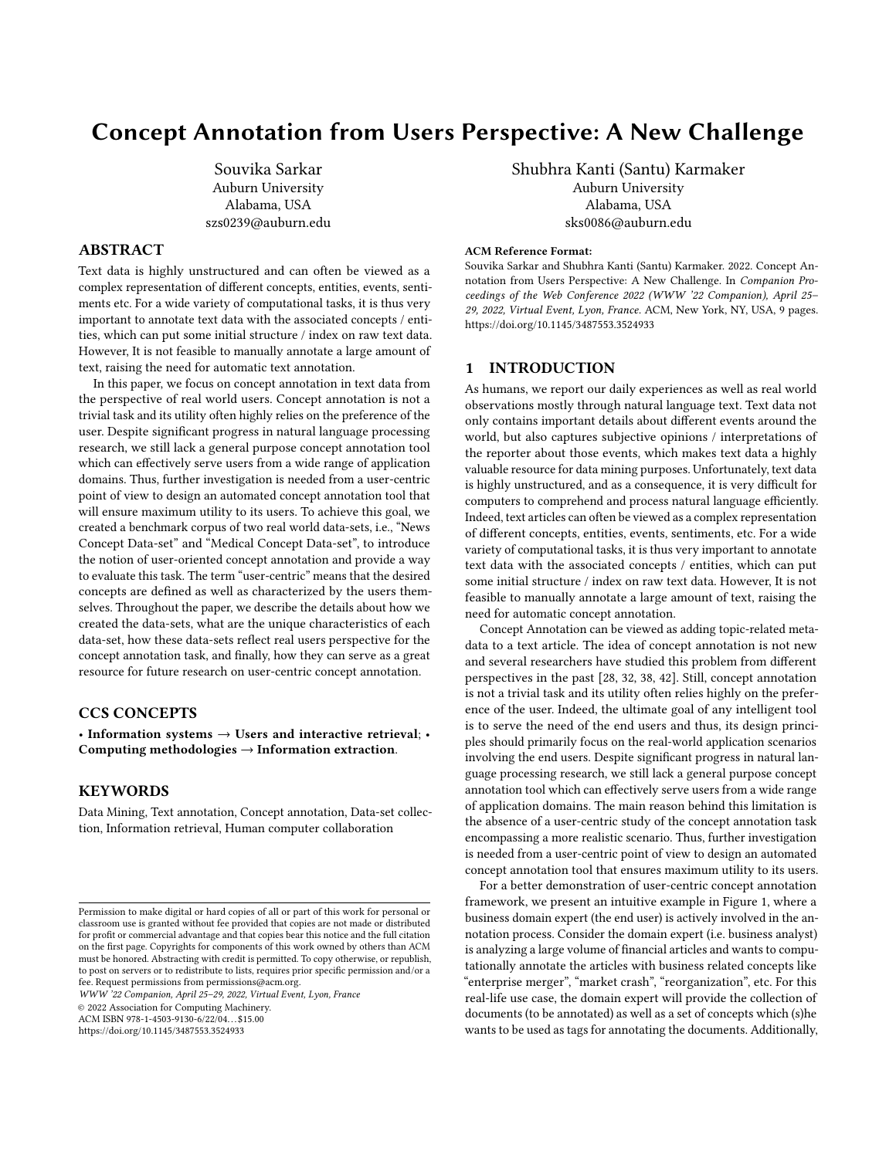Concept Annotation from Users Perspective: A New Challenge WWW '22 Companion, April 25-29, 2022, Virtual Event, Lyon, France

<span id="page-6-0"></span>Algorithm 3 Pseudo code for finding True Positive, False Positive, False Negative count

| <sup>1:</sup> <b>Input:</b> Annotated dataset, a concept name; |
|----------------------------------------------------------------|
|----------------------------------------------------------------|

- 2: Output: Total, True Positive, False Positive, False Positive count for a given concept ;
- 3: for each article do
- 4: if input concept present in 'Explicit Article Concept' field then count total number
- 5: end if
- 6: if input concept present in both field, 'Explicit Article Concept and 'Article Concept' then count as TRUE POSITIVE
- 7: end if
- 8: if input concept present in 'Explicit Article Concept' but not in 'Article Concept' then count as FALSE POSITIVE
- 9: end if
- 10: if input concept not present in 'Explicit Article Concept but in 'Article Concept' then count as FALSE NEGATIVE
- 11: end if
- 12: end for

applications where precision is a high priority. Further, the performance of the rudimentary approach greatly depends on the choice of keywords; without appropriate keywords, the approach may suffer seriously.

<span id="page-6-1"></span>

Figure 4: Performance measures of News forum concept annotation process



Figure 5: Performance measures of Medical forum concept annotation process

## 7 FUTURE USAGE OF THE RESOURCE

In this paper, we introduced the notion of user-centric concept annotation task and created 2 data-sets for this new challenge, so that researchers can dig deeper into this important problem. we discussed how we created these data-sets step-by-step including data collection, cleaning, implicit feature identification and end-user simulation. Based on the our analysis, we make some important observations about the new data-sets. First, direct searching for concept name yields very low recall, thus it is not useful. The rudimentary keyword-based annotation algorithm performs better in terms of recall, but at the expense of low precision and high false positive rate, and consequently low F1 score. Therefore, more sophisticated methods need to be devised to achieve a reasonable accuracy. To facilitate research in this direction, we have published the data-sets, scripts for data-loading and data-statistics computation and a readme file with detailed instructions on how to use this resource, upon acceptance of our submitted manuscript. Below we point towards possible research directions using this resource.

Exploring Semantic Embeddings Vectors: Word embedding techniques like Word2Vec [\[30\]](#page-8-36) and Glove [\[33\]](#page-8-37) can be quite handy for concept annotation tasks. Less frequent words in the text corpora which do not display strong correlations with other words may greatly benefit from such embedding representations because embeddings are pre-learnt from a big corpus of text and expected to have a more robust representation for less frequent words in the text being annotated. This ability to represent words, phrases as vectors as well as represent similar words closely in vector space, may lead Word2vec to produce very promising results if used in text annotations.

Exploring Deep Sequential Models: Text data is sequential in nature and thus, concept annotation in text can be viewed as a sequence labeling task. From this perspective, Deep Sequential Models like Recurrent Neural Network (RNN), Long Short Term Memory (LSTM [\[19\]](#page-8-38), TILM [\[35\]](#page-8-39)), Transformers (BERT [\[12\]](#page-8-40)) can used for performing concept annotation. The reason being, long sequences often play a vital role for context understanding and concept identification.

Exploring Constrained Topic Modeling: Topic modeling techniques [\[1\]](#page-8-41) (LDA, PLSA, NNMF) are popular unsupervised techniques for discovering the abstract "topics" from a collection of documents. However, topic modeling techniques are not directly applicable for user-centric concept annotation task as it is a semisupervised task with active engagement from the user, while topic models are completely unsupervised. Thus, a user-preference based constrained topic modeling technique needs to devised for the annotation task.

Adding External Knowledge Graphs: Knowledge Graphs are popular techniques for capturing relationships among entities and concepts [\[17\]](#page-8-42). Thus, external knowledge graphs can help identify ambiguous concepts by exploiting the internal graph relations and mapping them on the text document being annotated, which is definitely a promising future research direction.

### 8 CONCLUSION

It is evident that in the era of web scale unstructured data, annotation is a crucial process. Information retrieval and Knowledge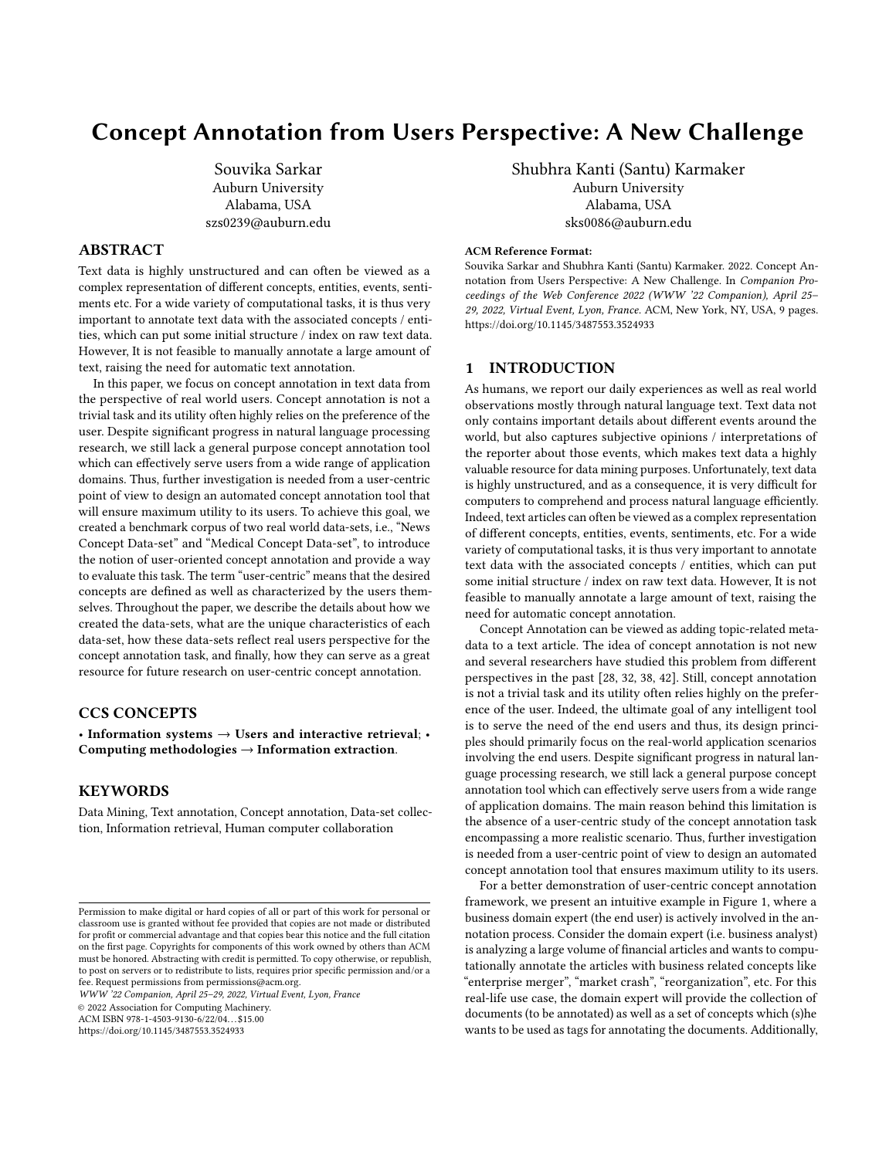<span id="page-7-0"></span>WWW '22 Companion, April 25–29, 2022, Virtual Event, Lyon, France Souvice Souvika Sarkar and Shubhra Kanti (Santu) Karmaker

| Concept            | <b>Total Count</b> | <b>True Positive</b> | <b>False Negative</b> | <b>False Positive</b> | Precision | Recall | F1 Measure | <b>FP</b> Rate |
|--------------------|--------------------|----------------------|-----------------------|-----------------------|-----------|--------|------------|----------------|
| 2020 Presidential  | 2212               | 2011                 | 201                   | 4444                  | 0.31      | 0.91   | 0.46       | 0.66           |
| Abortion           | 411                | 395                  | 16                    | 1288                  | 0.23      | 0.96   | 0.38       | 0.15           |
| Celebrities        | 497                | 345                  | 152                   | 936                   | 0.27      | 0.69   | 0.39       | 0.11           |
| Coronavirus        | 227                | 225                  | 2                     | 102                   | 0.69      | 0.99   | 0.81       | 0.01           |
| Economy            | 317                | 248                  | 69                    | 1465                  | 0.14      | 0.78   | 0.24       | 0.17           |
| Foreign Policy     | 370                | 214                  | 156                   | 975                   | 0.18      | 0.58   | 0.27       | 0.11           |
| Global Warming     | 312                | 309                  | 3                     | 785                   | 0.28      | 0.99   | 0.44       | 0.09           |
| Immigration        | 374                | 353                  | 21                    | 844                   | 0.29      | 0.94   | 0.45       | 0.10           |
| Religion           | 327                | 239                  | 88                    | 732                   | 0.25      | 0.73   | 0.37       | 0.08           |
| Sexuality          | 689                | 391                  | 298                   | 542                   | 0.42      | 0.57   | 0.48       | 0.07           |
| Trump Impeachment  | 1085               | 1081                 | 4                     | 5254                  | 0.17      | 1.00   | 0.29       | 0.67           |
| Trump-Russia probe | 466                | 462                  | 4                     | 5466                  | 0.08      | 0.99   | 0.14       | 0.65           |

Table 8: Details of concepts and number of True Positive, False Negative and False Positive articles from News forum

| Concept                     | <b>Total Count</b> | <b>True Positive</b> | <b>False Negative</b> | <b>False Positive</b> | Precision | Recall | F1 Measure | <b>FP</b> Rate |
|-----------------------------|--------------------|----------------------|-----------------------|-----------------------|-----------|--------|------------|----------------|
| Addiction                   | 95                 | 88                   |                       | 610                   | 0.13      | 0.93   | 0.22       | 0.31           |
| Alcohol                     | 9                  | 9                    | $\theta$              | 464                   | 0.02      | 1.00   | 0.04       | 0.23           |
| Arthritis                   | 46                 | 46                   | $\theta$              | 606                   | 0.07      | 1.00   | 0.13       | 0.30           |
| Brain and cognitive health  | 92                 | 76                   | 16                    | 480                   | 0.14      | 0.83   | 0.23       | 0.24           |
| <b>Breast Cancer</b>        | 27                 | 24                   | 3                     | 44                    | 0.35      | 0.89   | 0.51       | 0.02           |
| Cancer                      | 172                | 168                  | 4                     | 580                   | 0.22      | 0.98   | 0.37       | 0.31           |
| Children's Health           | 290                | 263                  | 27                    | 267                   | 0.50      | 0.91   | 0.64       | 0.15           |
| <b>Exercise and Fitness</b> | 176                | 162                  | 14                    | 714                   | 0.18      | 0.92   | 0.31       | 0.38           |
| Headache                    | 31                 | 30                   | 1                     | 192                   | 0.14      | 0.97   | 0.24       | 0.09           |
| <b>Healthy Eating</b>       | 313                | 293                  | 20                    | 506                   | 0.37      | 0.94   | 0.53       | 0.29           |
| Heart Health                | 255                | 194                  | 61                    | 300                   | 0.39      | 0.76   | 0.52       | 0.17           |
| Mental Health               | 300                | 195                  | 105                   | 252                   | 0.44      | 0.65   | 0.52       | 0.14           |
| Osteoporosis                | 23                 | 23                   | $\Omega$              | 223                   | 0.09      | 1.00   | 0.17       | 0.11           |
| Pain Management             | 98                 | 95                   | 3                     | 502                   | 0.16      | 0.97   | 0.27       | 0.26           |
| Prostate Knowledge          | 161                | 154                  | 7                     | 129                   | 0.54      | 0.96   | 0.69       | 0.07           |
| Sleep                       | 72                 | 72                   | $\theta$              | 385                   | 0.16      | 1.00   | 0.28       | 0.19           |
| <b>Smoking Cessation</b>    | 15                 | 15                   | $\Omega$              | 168                   | 0.08      | 1.00   | 0.15       | 0.08           |
| Women's Health              | 172                | 95                   | 77                    | 233                   | 0.29      | 0.55   | 0.38       | 0.12           |

Table 9: Details of concepts and number of True Positive, False Negative and False Positive articles from Medical forum

mining becomes much easier if data is categorized and annotated precisely. Consequently, a general annotation tool which can effectively serve end users from a wide area of application domain will greatly benefit the movement of data driven design and discovery. For example, an annotated medical data-set can promptly retrieve similar "Cancer" cases from the past, an annotated news data-set can be useful in retrieving all "Presidential Election" news in a few clicks. Annotated systems will aid enterprises to store and retrieve digital information efficiently, which will accelerate all kinds of data driven decision process [\[21\]](#page-8-43).

With the rapid growth of Big-data, it is infeasible to perform manual annotation, as it is slow and expensive. The ever-increasing scale of the data in different areas, new types of content, creates an ever-growing need to continuously adapt and refine annotation methods. Although the area of text annotation is not in the nascent phase, it has not been well-studied from a user-centric point of view. Our contribution in this area will enable further research

including novel machine learning practices and information retrieval systems. We strongly believe that an interdisciplinary effort from multiple research areas including natural language processing, Human-Computer Interaction, Machine Learning and Information Retrieval is needed to effectively design a general-purpose user-centric concept annotation tool. Therefore, we encourage the community to make use of the corpora for solving this fundamental yet crucial data science task.

## 9 ETHICS STATEMENT

In this paper, we have discussed the creation of two benchmark data-sets from real-world user generated contents. To the fulfilment of this goal, we have scraped contents from 2 different publicly accessible websites. Hence, we did not obtain any explicit approval as our intended use of the contents is entirely educational/researchfocused and the created data-sets will only be shared with other researchers for research purposes exclusively. We have not tried